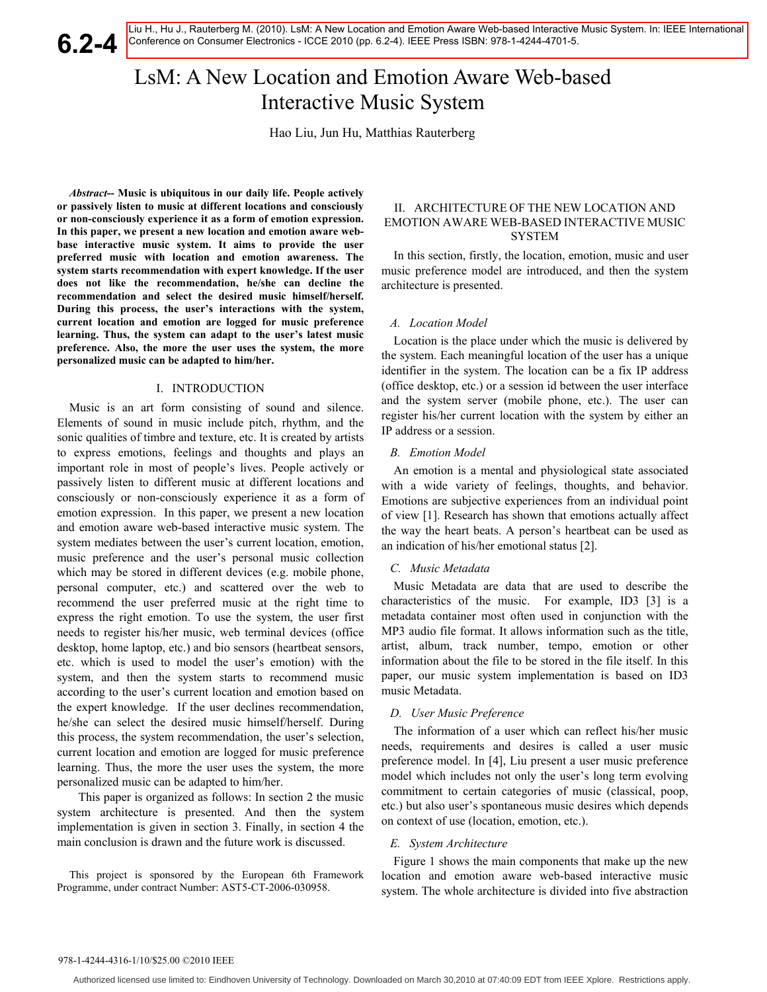Liu H., Hu J., Rauterberg M. (2010). LsM: A New Location and Emotion Aware Web-based Interactive Music System. In: IEEE International Conference on Consumer Electronics - ICCE 2010 (pp. 6.2-4). IEEE Press ISBN: 978-1-4244-4701-5.

# LsM: A New Location and Emotion Aware Web-based Interactive Music System

Hao Liu, Jun Hu, Matthias Rauterberg

*Abstract***-- Music is ubiquitous in our daily life. People actively or passively listen to music at different locations and consciously or non-consciously experience it as a form of emotion expression. In this paper, we present a new location and emotion aware webbase interactive music system. It aims to provide the user preferred music with location and emotion awareness. The system starts recommendation with expert knowledge. If the user does not like the recommendation, he/she can decline the recommendation and select the desired music himself/herself. During this process, the user's interactions with the system, current location and emotion are logged for music preference learning. Thus, the system can adapt to the user's latest music preference. Also, the more the user uses the system, the more personalized music can be adapted to him/her.** 

**6.2-4**

### I. INTRODUCTION

Music is an art form consisting of sound and silence. Elements of sound in music include pitch, rhythm, and the sonic qualities of timbre and texture, etc. It is created by artists to express emotions, feelings and thoughts and plays an important role in most of people's lives. People actively or passively listen to different music at different locations and consciously or non-consciously experience it as a form of emotion expression. In this paper, we present a new location and emotion aware web-based interactive music system. The system mediates between the user's current location, emotion, music preference and the user's personal music collection which may be stored in different devices (e.g. mobile phone, personal computer, etc.) and scattered over the web to recommend the user preferred music at the right time to express the right emotion. To use the system, the user first needs to register his/her music, web terminal devices (office desktop, home laptop, etc.) and bio sensors (heartbeat sensors, etc. which is used to model the user's emotion) with the system, and then the system starts to recommend music according to the user's current location and emotion based on the expert knowledge. If the user declines recommendation, he/she can select the desired music himself/herself. During this process, the system recommendation, the user's selection, current location and emotion are logged for music preference learning. Thus, the more the user uses the system, the more personalized music can be adapted to him/her.

 This paper is organized as follows: In section 2 the music system architecture is presented. And then the system implementation is given in section 3. Finally, in section 4 the main conclusion is drawn and the future work is discussed.

This project is sponsored by the European 6th Framework Programme, under contract Number: AST5-CT-2006-030958.

## II. ARCHITECTURE OF THE NEW LOCATION AND EMOTION AWARE WEB-BASED INTERACTIVE MUSIC **SYSTEM**

In this section, firstly, the location, emotion, music and user music preference model are introduced, and then the system architecture is presented.

#### *A. Location Model*

Location is the place under which the music is delivered by the system. Each meaningful location of the user has a unique identifier in the system. The location can be a fix IP address (office desktop, etc.) or a session id between the user interface and the system server (mobile phone, etc.). The user can register his/her current location with the system by either an IP address or a session.

### *B. Emotion Model*

An emotion is a mental and physiological state associated with a wide variety of feelings, thoughts, and behavior. Emotions are subjective experiences from an individual point of view [1]. Research has shown that emotions actually affect the way the heart beats. A person's heartbeat can be used as an indication of his/her emotional status [2].

#### *C. Music Metadata*

Music Metadata are data that are used to describe the characteristics of the music. For example, ID3 [3] is a metadata container most often used in conjunction with the MP3 audio file format. It allows information such as the title, artist, album, track number, tempo, emotion or other information about the file to be stored in the file itself. In this paper, our music system implementation is based on ID3 music Metadata.

#### *D. User Music Preference*

The information of a user which can reflect his/her music needs, requirements and desires is called a user music preference model. In [4], Liu present a user music preference model which includes not only the user's long term evolving commitment to certain categories of music (classical, poop, etc.) but also user's spontaneous music desires which depends on context of use (location, emotion, etc.).

#### *E. System Architecture*

Figure 1 shows the main components that make up the new location and emotion aware web-based interactive music system. The whole architecture is divided into five abstraction